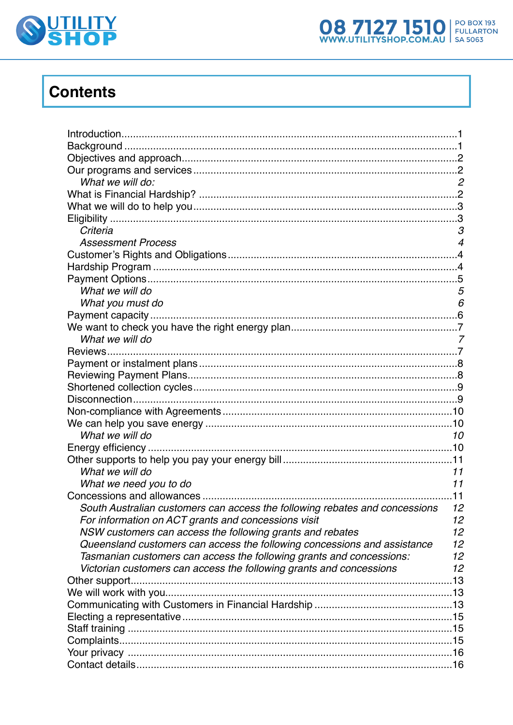



# **Contents**

| What we will do:                                                            | $\overline{c}$   |
|-----------------------------------------------------------------------------|------------------|
|                                                                             |                  |
|                                                                             |                  |
|                                                                             |                  |
| Criteria                                                                    | 3                |
| <b>Assessment Process</b>                                                   | $\boldsymbol{4}$ |
|                                                                             |                  |
|                                                                             |                  |
|                                                                             |                  |
| What we will do                                                             | 5                |
| What you must do                                                            | 6                |
|                                                                             |                  |
|                                                                             |                  |
| What we will do                                                             | 7                |
| Reviews                                                                     |                  |
|                                                                             |                  |
|                                                                             |                  |
|                                                                             |                  |
|                                                                             |                  |
|                                                                             |                  |
|                                                                             |                  |
| What we will do                                                             | 10               |
|                                                                             |                  |
|                                                                             |                  |
| What we will do                                                             | 11               |
| What we need you to do                                                      | 11               |
|                                                                             | .11              |
| South Australian customers can access the following rebates and concessions | 12               |
| For information on ACT grants and concessions visit                         | 12               |
| NSW customers can access the following grants and rebates                   | 12               |
| Queensland customers can access the following concessions and assistance    | 12               |
| Tasmanian customers can access the following grants and concessions:        | 12               |
| Victorian customers can access the following grants and concessions         | 12               |
|                                                                             |                  |
|                                                                             |                  |
|                                                                             |                  |
|                                                                             |                  |
|                                                                             |                  |
|                                                                             |                  |
|                                                                             |                  |
|                                                                             |                  |
|                                                                             |                  |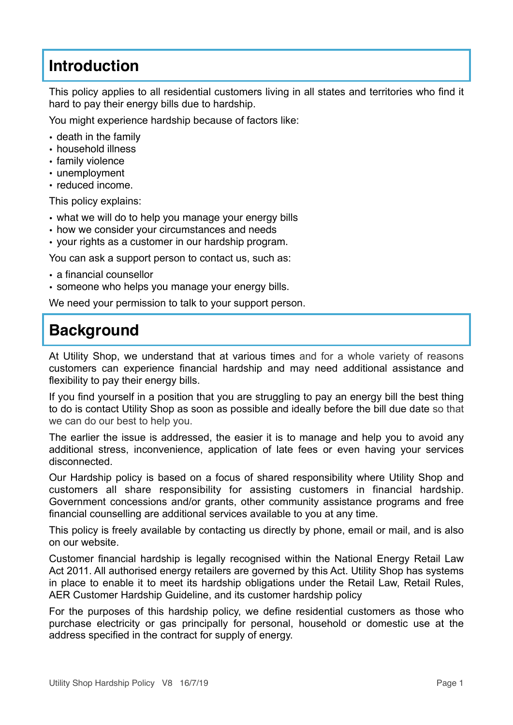## **Introduction**

This policy applies to all residential customers living in all states and territories who find it hard to pay their energy bills due to hardship.

You might experience hardship because of factors like:

- death in the family
- household illness
- family violence
- unemployment
- reduced income.

This policy explains:

- what we will do to help you manage your energy bills
- how we consider your circumstances and needs
- your rights as a customer in our hardship program.

You can ask a support person to contact us, such as:

- a financial counsellor
- someone who helps you manage your energy bills.

We need your permission to talk to your support person.

## **Background**

At Utility Shop, we understand that at various times and for a whole variety of reasons customers can experience financial hardship and may need additional assistance and flexibility to pay their energy bills.

If you find yourself in a position that you are struggling to pay an energy bill the best thing to do is contact Utility Shop as soon as possible and ideally before the bill due date so that we can do our best to help you.

The earlier the issue is addressed, the easier it is to manage and help you to avoid any additional stress, inconvenience, application of late fees or even having your services disconnected.

Our Hardship policy is based on a focus of shared responsibility where Utility Shop and customers all share responsibility for assisting customers in financial hardship. Government concessions and/or grants, other community assistance programs and free financial counselling are additional services available to you at any time.

This policy is freely available by contacting us directly by phone, email or mail, and is also on our website.

Customer financial hardship is legally recognised within the National Energy Retail Law Act 2011. All authorised energy retailers are governed by this Act. Utility Shop has systems in place to enable it to meet its hardship obligations under the Retail Law, Retail Rules, AER Customer Hardship Guideline, and its customer hardship policy

For the purposes of this hardship policy, we define residential customers as those who purchase electricity or gas principally for personal, household or domestic use at the address specified in the contract for supply of energy.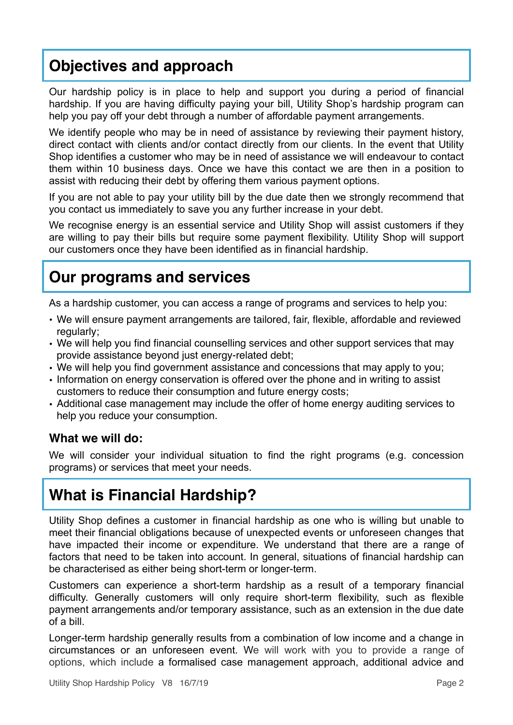## <span id="page-2-0"></span>**Objectives and approach**

Our hardship policy is in place to help and support you during a period of financial hardship. If you are having difficulty paying your bill, Utility Shop's hardship program can help you pay off your debt through a number of affordable payment arrangements.

We identify people who may be in need of assistance by reviewing their payment history, direct contact with clients and/or contact directly from our clients. In the event that Utility Shop identifies a customer who may be in need of assistance we will endeavour to contact them within 10 business days. Once we have this contact we are then in a position to assist with reducing their debt by offering them various payment options.

If you are not able to pay your utility bill by the due date then we strongly recommend that you contact us immediately to save you any further increase in your debt.

We recognise energy is an essential service and Utility Shop will assist customers if they are willing to pay their bills but require some payment flexibility. Utility Shop will support our customers once they have been identified as in financial hardship.

### <span id="page-2-1"></span>**Our programs and services**

As a hardship customer, you can access a range of programs and services to help you:

- We will ensure payment arrangements are tailored, fair, flexible, affordable and reviewed regularly;
- We will help you find financial counselling services and other support services that may provide assistance beyond just energy-related debt;
- We will help you find government assistance and concessions that may apply to you;
- Information on energy conservation is offered over the phone and in writing to assist customers to reduce their consumption and future energy costs;
- Additional case management may include the offer of home energy auditing services to help you reduce your consumption.

#### <span id="page-2-2"></span>**What we will do:**

We will consider your individual situation to find the right programs (e.g. concession programs) or services that meet your needs.

## <span id="page-2-3"></span>**What is Financial Hardship?**

Utility Shop defines a customer in financial hardship as one who is willing but unable to meet their financial obligations because of unexpected events or unforeseen changes that have impacted their income or expenditure. We understand that there are a range of factors that need to be taken into account. In general, situations of financial hardship can be characterised as either being short-term or longer-term.

Customers can experience a short-term hardship as a result of a temporary financial difficulty. Generally customers will only require short-term flexibility, such as flexible payment arrangements and/or temporary assistance, such as an extension in the due date of a bill.

Longer-term hardship generally results from a combination of low income and a change in circumstances or an unforeseen event. We will work with you to provide a range of options, which include a formalised case management approach, additional advice and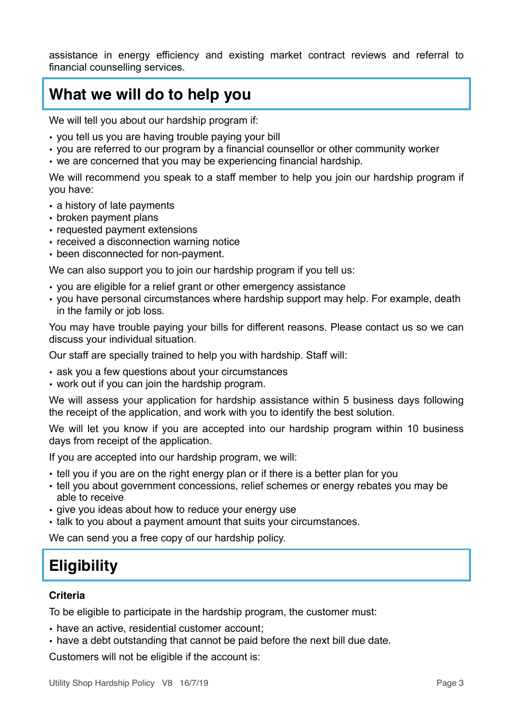assistance in energy efficiency and existing market contract reviews and referral to financial counselling services.

### <span id="page-3-0"></span>**What we will do to help you**

We will tell you about our hardship program if:

- you tell us you are having trouble paying your bill
- you are referred to our program by a financial counsellor or other community worker
- we are concerned that you may be experiencing financial hardship.

We will recommend you speak to a staff member to help you join our hardship program if you have:

- a history of late payments
- broken payment plans
- requested payment extensions
- received a disconnection warning notice
- been disconnected for non-payment.

We can also support you to join our hardship program if you tell us:

- you are eligible for a relief grant or other emergency assistance
- you have personal circumstances where hardship support may help. For example, death in the family or job loss.

You may have trouble paying your bills for different reasons. Please contact us so we can discuss your individual situation.

Our staff are specially trained to help you with hardship. Staff will:

- ask you a few questions about your circumstances
- work out if you can join the hardship program.

We will assess your application for hardship assistance within 5 business days following the receipt of the application, and work with you to identify the best solution.

We will let you know if you are accepted into our hardship program within 10 business days from receipt of the application.

If you are accepted into our hardship program, we will:

- tell you if you are on the right energy plan or if there is a better plan for you
- tell you about government concessions, relief schemes or energy rebates you may be able to receive
- give you ideas about how to reduce your energy use
- talk to you about a payment amount that suits your circumstances.

We can send you a free copy of our hardship policy.

## <span id="page-3-1"></span>**Eligibility**

#### <span id="page-3-2"></span>**Criteria**

To be eligible to participate in the hardship program, the customer must:

- have an active, residential customer account;
- have a debt outstanding that cannot be paid before the next bill due date.

Customers will not be eligible if the account is: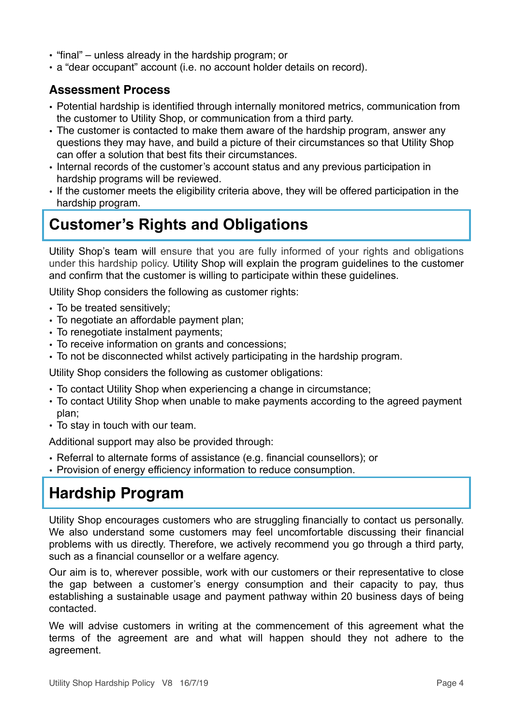- "final" unless already in the hardship program; or
- a "dear occupant" account (i.e. no account holder details on record).

#### <span id="page-4-0"></span>**Assessment Process**

- Potential hardship is identified through internally monitored metrics, communication from the customer to Utility Shop, or communication from a third party.
- The customer is contacted to make them aware of the hardship program, answer any questions they may have, and build a picture of their circumstances so that Utility Shop can offer a solution that best fits their circumstances.
- Internal records of the customer's account status and any previous participation in hardship programs will be reviewed.
- If the customer meets the eligibility criteria above, they will be offered participation in the hardship program.

## <span id="page-4-1"></span>**Customer's Rights and Obligations**

Utility Shop's team will ensure that you are fully informed of your rights and obligations under this hardship policy. Utility Shop will explain the program guidelines to the customer and confirm that the customer is willing to participate within these guidelines.

Utility Shop considers the following as customer rights:

- To be treated sensitively;
- To negotiate an affordable payment plan;
- To renegotiate instalment payments;
- To receive information on grants and concessions;
- To not be disconnected whilst actively participating in the hardship program.

Utility Shop considers the following as customer obligations:

- To contact Utility Shop when experiencing a change in circumstance;
- To contact Utility Shop when unable to make payments according to the agreed payment plan;
- To stay in touch with our team.

Additional support may also be provided through:

- Referral to alternate forms of assistance (e.g. financial counsellors); or
- Provision of energy efficiency information to reduce consumption.

# <span id="page-4-2"></span>**Hardship Program**

Utility Shop encourages customers who are struggling financially to contact us personally. We also understand some customers may feel uncomfortable discussing their financial problems with us directly. Therefore, we actively recommend you go through a third party, such as a financial counsellor or a welfare agency.

Our aim is to, wherever possible, work with our customers or their representative to close the gap between a customer's energy consumption and their capacity to pay, thus establishing a sustainable usage and payment pathway within 20 business days of being contacted.

We will advise customers in writing at the commencement of this agreement what the terms of the agreement are and what will happen should they not adhere to the agreement.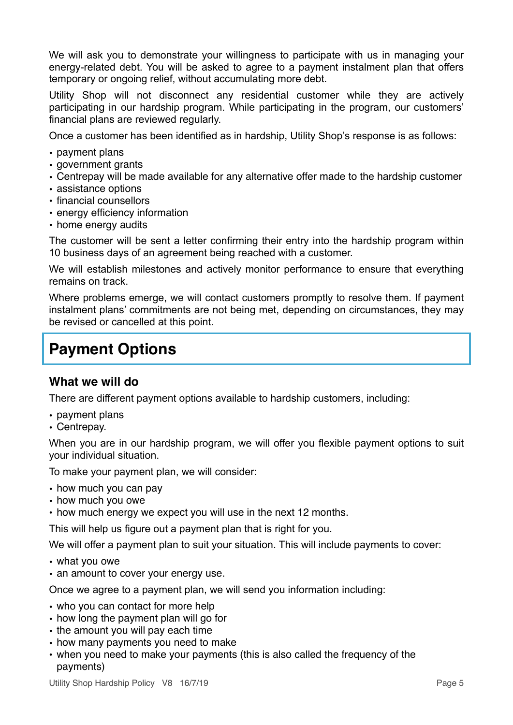We will ask you to demonstrate your willingness to participate with us in managing your energy-related debt. You will be asked to agree to a payment instalment plan that offers temporary or ongoing relief, without accumulating more debt.

Utility Shop will not disconnect any residential customer while they are actively participating in our hardship program. While participating in the program, our customers' financial plans are reviewed regularly.

Once a customer has been identified as in hardship, Utility Shop's response is as follows:

- payment plans
- government grants
- Centrepay will be made available for any alternative offer made to the hardship customer
- assistance options
- financial counsellors
- energy efficiency information
- home energy audits

The customer will be sent a letter confirming their entry into the hardship program within 10 business days of an agreement being reached with a customer.

We will establish milestones and actively monitor performance to ensure that everything remains on track.

Where problems emerge, we will contact customers promptly to resolve them. If payment instalment plans' commitments are not being met, depending on circumstances, they may be revised or cancelled at this point.

### <span id="page-5-0"></span>**Payment Options**

#### <span id="page-5-1"></span>**What we will do**

There are different payment options available to hardship customers, including:

- payment plans
- Centrepay.

When you are in our hardship program, we will offer you flexible payment options to suit your individual situation.

To make your payment plan, we will consider:

- how much you can pay
- how much you owe
- how much energy we expect you will use in the next 12 months.

This will help us figure out a payment plan that is right for you.

We will offer a payment plan to suit your situation. This will include payments to cover:

- what you owe
- an amount to cover your energy use.

Once we agree to a payment plan, we will send you information including:

- who you can contact for more help
- how long the payment plan will go for
- the amount you will pay each time
- how many payments you need to make
- when you need to make your payments (this is also called the frequency of the payments)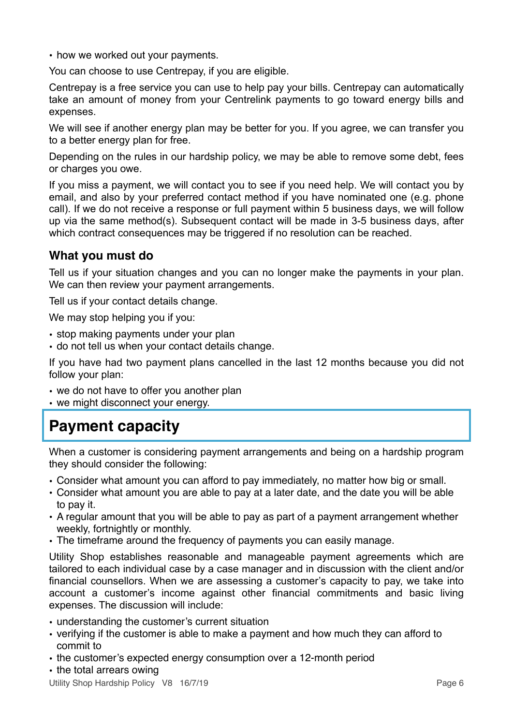• how we worked out your payments.

You can choose to use Centrepay, if you are eligible.

Centrepay is a free service you can use to help pay your bills. Centrepay can automatically take an amount of money from your Centrelink payments to go toward energy bills and expenses.

We will see if another energy plan may be better for you. If you agree, we can transfer you to a better energy plan for free.

Depending on the rules in our hardship policy, we may be able to remove some debt, fees or charges you owe.

If you miss a payment, we will contact you to see if you need help. We will contact you by email, and also by your preferred contact method if you have nominated one (e.g. phone call). If we do not receive a response or full payment within 5 business days, we will follow up via the same method(s). Subsequent contact will be made in 3-5 business days, after which contract consequences may be triggered if no resolution can be reached.

#### <span id="page-6-0"></span>**What you must do**

Tell us if your situation changes and you can no longer make the payments in your plan. We can then review your payment arrangements.

Tell us if your contact details change.

We may stop helping you if you:

- stop making payments under your plan
- do not tell us when your contact details change.

If you have had two payment plans cancelled in the last 12 months because you did not follow your plan:

- we do not have to offer you another plan
- we might disconnect your energy.

## <span id="page-6-1"></span>**Payment capacity**

When a customer is considering payment arrangements and being on a hardship program they should consider the following:

- Consider what amount you can afford to pay immediately, no matter how big or small.
- Consider what amount you are able to pay at a later date, and the date you will be able to pay it.
- A regular amount that you will be able to pay as part of a payment arrangement whether weekly, fortnightly or monthly.
- The timeframe around the frequency of payments you can easily manage.

Utility Shop establishes reasonable and manageable payment agreements which are tailored to each individual case by a case manager and in discussion with the client and/or financial counsellors. When we are assessing a customer's capacity to pay, we take into account a customer's income against other financial commitments and basic living expenses. The discussion will include:

- understanding the customer's current situation
- verifying if the customer is able to make a payment and how much they can afford to commit to
- the customer's expected energy consumption over a 12-month period
- the total arrears owing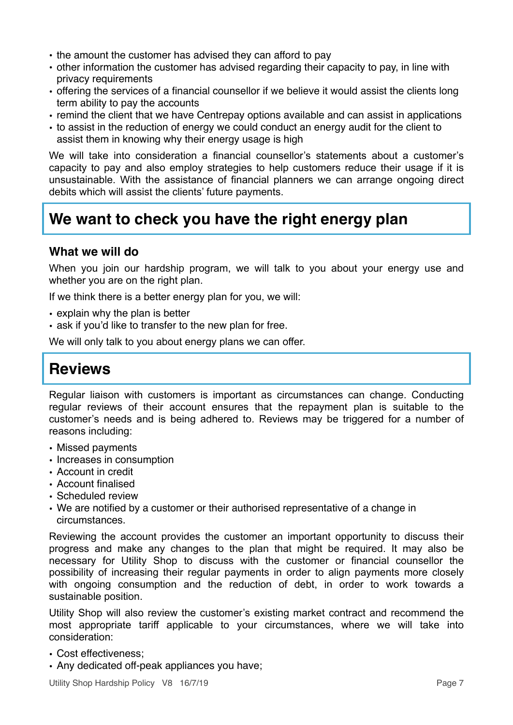- the amount the customer has advised they can afford to pay
- other information the customer has advised regarding their capacity to pay, in line with privacy requirements
- offering the services of a financial counsellor if we believe it would assist the clients long term ability to pay the accounts
- remind the client that we have Centrepay options available and can assist in applications
- to assist in the reduction of energy we could conduct an energy audit for the client to assist them in knowing why their energy usage is high

We will take into consideration a financial counsellor's statements about a customer's capacity to pay and also employ strategies to help customers reduce their usage if it is unsustainable. With the assistance of financial planners we can arrange ongoing direct debits which will assist the clients' future payments.

## <span id="page-7-0"></span>**We want to check you have the right energy plan**

#### <span id="page-7-1"></span>**What we will do**

When you join our hardship program, we will talk to you about your energy use and whether you are on the right plan.

If we think there is a better energy plan for you, we will:

- explain why the plan is better
- ask if you'd like to transfer to the new plan for free.

We will only talk to you about energy plans we can offer.

## <span id="page-7-2"></span>**Reviews**

Regular liaison with customers is important as circumstances can change. Conducting regular reviews of their account ensures that the repayment plan is suitable to the customer's needs and is being adhered to. Reviews may be triggered for a number of reasons including:

- Missed payments
- Increases in consumption
- Account in credit
- Account finalised
- Scheduled review
- We are notified by a customer or their authorised representative of a change in circumstances.

Reviewing the account provides the customer an important opportunity to discuss their progress and make any changes to the plan that might be required. It may also be necessary for Utility Shop to discuss with the customer or financial counsellor the possibility of increasing their regular payments in order to align payments more closely with ongoing consumption and the reduction of debt, in order to work towards a sustainable position.

Utility Shop will also review the customer's existing market contract and recommend the most appropriate tariff applicable to your circumstances, where we will take into consideration:

- Cost effectiveness;
- Any dedicated off-peak appliances you have;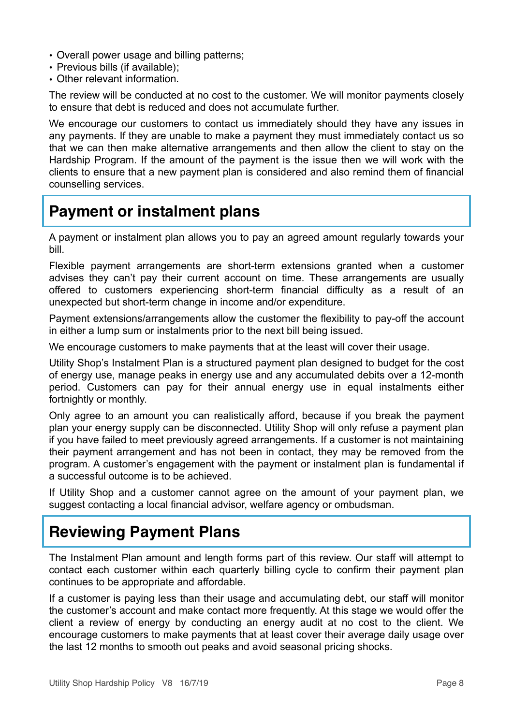- Overall power usage and billing patterns;
- Previous bills (if available);
- Other relevant information.

The review will be conducted at no cost to the customer. We will monitor payments closely to ensure that debt is reduced and does not accumulate further.

We encourage our customers to contact us immediately should they have any issues in any payments. If they are unable to make a payment they must immediately contact us so that we can then make alternative arrangements and then allow the client to stay on the Hardship Program. If the amount of the payment is the issue then we will work with the clients to ensure that a new payment plan is considered and also remind them of financial counselling services.

### <span id="page-8-0"></span>**Payment or instalment plans**

A payment or instalment plan allows you to pay an agreed amount regularly towards your bill.

Flexible payment arrangements are short-term extensions granted when a customer advises they can't pay their current account on time. These arrangements are usually offered to customers experiencing short-term financial difficulty as a result of an unexpected but short-term change in income and/or expenditure.

Payment extensions/arrangements allow the customer the flexibility to pay-off the account in either a lump sum or instalments prior to the next bill being issued.

We encourage customers to make payments that at the least will cover their usage.

Utility Shop's Instalment Plan is a structured payment plan designed to budget for the cost of energy use, manage peaks in energy use and any accumulated debits over a 12-month period. Customers can pay for their annual energy use in equal instalments either fortnightly or monthly.

Only agree to an amount you can realistically afford, because if you break the payment plan your energy supply can be disconnected. Utility Shop will only refuse a payment plan if you have failed to meet previously agreed arrangements. If a customer is not maintaining their payment arrangement and has not been in contact, they may be removed from the program. A customer's engagement with the payment or instalment plan is fundamental if a successful outcome is to be achieved.

If Utility Shop and a customer cannot agree on the amount of your payment plan, we suggest contacting a local financial advisor, welfare agency or ombudsman.

## <span id="page-8-1"></span>**Reviewing Payment Plans**

The Instalment Plan amount and length forms part of this review. Our staff will attempt to contact each customer within each quarterly billing cycle to confirm their payment plan continues to be appropriate and affordable.

If a customer is paying less than their usage and accumulating debt, our staff will monitor the customer's account and make contact more frequently. At this stage we would offer the client a review of energy by conducting an energy audit at no cost to the client. We encourage customers to make payments that at least cover their average daily usage over the last 12 months to smooth out peaks and avoid seasonal pricing shocks.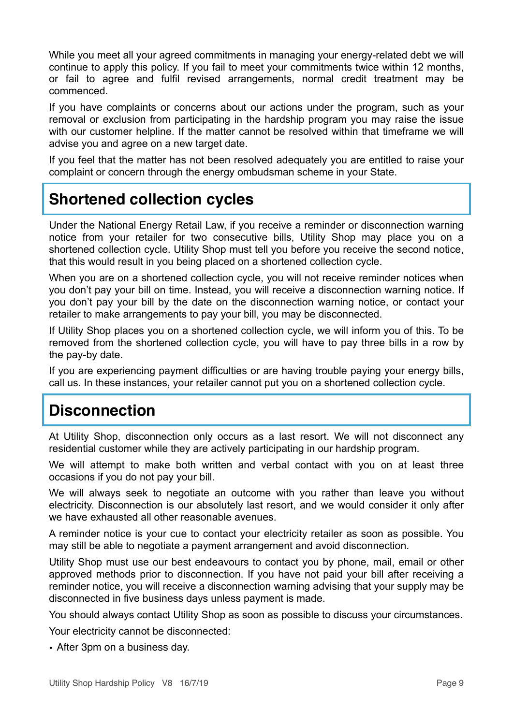While you meet all your agreed commitments in managing your energy-related debt we will continue to apply this policy. If you fail to meet your commitments twice within 12 months, or fail to agree and fulfil revised arrangements, normal credit treatment may be commenced.

If you have complaints or concerns about our actions under the program, such as your removal or exclusion from participating in the hardship program you may raise the issue with our customer helpline. If the matter cannot be resolved within that timeframe we will advise you and agree on a new target date.

If you feel that the matter has not been resolved adequately you are entitled to raise your complaint or concern through the energy ombudsman scheme in your State.

## <span id="page-9-0"></span>**Shortened collection cycles**

Under the National Energy Retail Law, if you receive a reminder or disconnection warning notice from your retailer for two consecutive bills, Utility Shop may place you on a shortened collection cycle. Utility Shop must tell you before you receive the second notice, that this would result in you being placed on a shortened collection cycle.

When you are on a shortened collection cycle, you will not receive reminder notices when you don't pay your bill on time. Instead, you will receive a disconnection warning notice. If you don't pay your bill by the date on the disconnection warning notice, or contact your retailer to make arrangements to pay your bill, you may be disconnected.

If Utility Shop places you on a shortened collection cycle, we will inform you of this. To be removed from the shortened collection cycle, you will have to pay three bills in a row by the pay-by date.

If you are experiencing payment difficulties or are having trouble paying your energy bills, call us. In these instances, your retailer cannot put you on a shortened collection cycle.

## <span id="page-9-1"></span>**Disconnection**

At Utility Shop, disconnection only occurs as a last resort. We will not disconnect any residential customer while they are actively participating in our hardship program.

We will attempt to make both written and verbal contact with you on at least three occasions if you do not pay your bill.

We will always seek to negotiate an outcome with you rather than leave you without electricity. Disconnection is our absolutely last resort, and we would consider it only after we have exhausted all other reasonable avenues.

A reminder notice is your cue to contact your electricity retailer as soon as possible. You may still be able to negotiate a payment arrangement and avoid disconnection.

Utility Shop must use our best endeavours to contact you by phone, mail, email or other approved methods prior to disconnection. If you have not paid your bill after receiving a reminder notice, you will receive a disconnection warning advising that your supply may be disconnected in five business days unless payment is made.

You should always contact Utility Shop as soon as possible to discuss your circumstances.

Your electricity cannot be disconnected:

• After 3pm on a business day.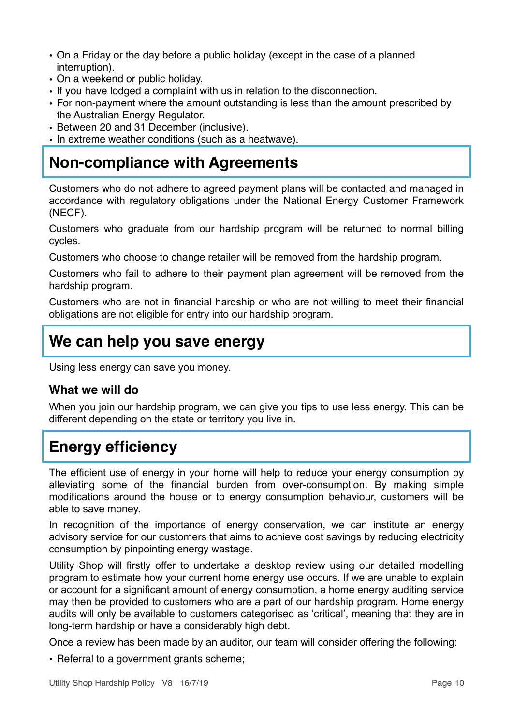- On a Friday or the day before a public holiday (except in the case of a planned interruption).
- On a weekend or public holiday.
- If you have lodged a complaint with us in relation to the disconnection.
- For non-payment where the amount outstanding is less than the amount prescribed by the Australian Energy Regulator.
- Between 20 and 31 December (inclusive).
- In extreme weather conditions (such as a heatwave).

### <span id="page-10-0"></span>**Non-compliance with Agreements**

Customers who do not adhere to agreed payment plans will be contacted and managed in accordance with regulatory obligations under the National Energy Customer Framework (NECF).

Customers who graduate from our hardship program will be returned to normal billing cycles.

Customers who choose to change retailer will be removed from the hardship program.

Customers who fail to adhere to their payment plan agreement will be removed from the hardship program.

Customers who are not in financial hardship or who are not willing to meet their financial obligations are not eligible for entry into our hardship program.

### <span id="page-10-1"></span>**We can help you save energy**

Using less energy can save you money.

#### <span id="page-10-2"></span>**What we will do**

When you join our hardship program, we can give you tips to use less energy. This can be different depending on the state or territory you live in.

#### <span id="page-10-3"></span>**Energy efficiency**

The efficient use of energy in your home will help to reduce your energy consumption by alleviating some of the financial burden from over-consumption. By making simple modifications around the house or to energy consumption behaviour, customers will be able to save money.

In recognition of the importance of energy conservation, we can institute an energy advisory service for our customers that aims to achieve cost savings by reducing electricity consumption by pinpointing energy wastage.

Utility Shop will firstly offer to undertake a desktop review using our detailed modelling program to estimate how your current home energy use occurs. If we are unable to explain or account for a significant amount of energy consumption, a home energy auditing service may then be provided to customers who are a part of our hardship program. Home energy audits will only be available to customers categorised as 'critical', meaning that they are in long-term hardship or have a considerably high debt.

Once a review has been made by an auditor, our team will consider offering the following:

• Referral to a government grants scheme;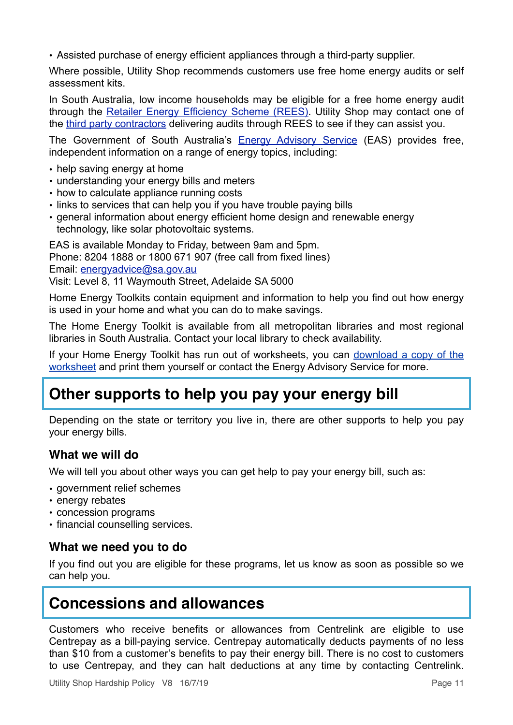• Assisted purchase of energy efficient appliances through a third-party supplier.

Where possible, Utility Shop recommends customers use free home energy audits or self assessment kits.

In South Australia, low income households may be eligible for a free home energy audit through the [Retailer Energy Efficiency Scheme \(REES\).](https://www.sa.gov.au/topics/water-energy-and-environment/using-saving-energy/retailer-energy-efficiency-scheme) Utility Shop may contact one of the [third party contractors](http://www.escosa.sa.gov.au/residential-energy-efficiency-scheme-rees/rees-obliged-retailers.aspx) delivering audits through REES to see if they can assist you.

The Government of South Australia's [Energy Advisory Service](https://www.sa.gov.au/topics/water-energy-and-environment/energy-advice-and-education/energy-advisory-service) (EAS) provides free, independent information on a range of energy topics, including:

- help saving energy at home
- understanding your energy bills and meters
- how to calculate appliance running costs
- links to services that can help you if you have trouble paying bills
- general information about energy efficient home design and renewable energy technology, like solar photovoltaic systems.

EAS is available Monday to Friday, between 9am and 5pm. Phone: 8204 1888 or 1800 671 907 (free call from fixed lines) Email: [energyadvice@sa.gov.au](mailto:energyadvice@sa.gov.au) Visit: Level 8, 11 Waymouth Street, Adelaide SA 5000

Home Energy Toolkits contain equipment and information to help you find out how energy is used in your home and what you can do to make savings.

The Home Energy Toolkit is available from all metropolitan libraries and most regional libraries in South Australia. Contact your local library to check availability.

If your Home Energy Toolkit has run out of worksheets, you can [download a copy of the](https://www.sa.gov.au/__data/assets/pdf_file/0004/9481/150511-Home-Energy-Toolkit-worksheet.pdf) [worksheet](https://www.sa.gov.au/__data/assets/pdf_file/0004/9481/150511-Home-Energy-Toolkit-worksheet.pdf) and print them yourself or contact the Energy Advisory Service for more.

#### <span id="page-11-0"></span>**Other supports to help you pay your energy bill**

Depending on the state or territory you live in, there are other supports to help you pay your energy bills.

#### <span id="page-11-1"></span>**What we will do**

We will tell you about other ways you can get help to pay your energy bill, such as:

- government relief schemes
- energy rebates
- concession programs
- <span id="page-11-2"></span>• financial counselling services.

#### **What we need you to do**

If you find out you are eligible for these programs, let us know as soon as possible so we can help you.

#### <span id="page-11-3"></span>**Concessions and allowances**

Customers who receive benefits or allowances from Centrelink are eligible to use Centrepay as a bill-paying service. Centrepay automatically deducts payments of no less than \$10 from a customer's benefits to pay their energy bill. There is no cost to customers to use Centrepay, and they can halt deductions at any time by contacting Centrelink.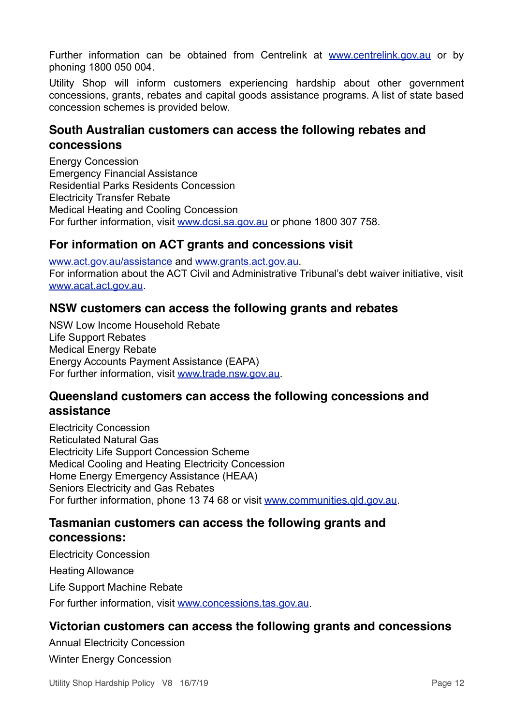Further information can be obtained from Centrelink at [www.centrelink.gov.au](http://www.centrelink.gov.au) or by phoning 1800 050 004.

Utility Shop will inform customers experiencing hardship about other government concessions, grants, rebates and capital goods assistance programs. A list of state based concession schemes is provided below.

#### <span id="page-12-0"></span>**South Australian customers can access the following rebates and concessions**

Energy Concession Emergency Financial Assistance Residential Parks Residents Concession Electricity Transfer Rebate Medical Heating and Cooling Concession For further information, visit [www.dcsi.sa.gov.au](http://www.dcsi.sa.gov.au) or phone 1800 307 758.

#### <span id="page-12-1"></span>**For information on ACT grants and concessions visit**

[www.act.gov.au/assistance](https://www.act.gov.au/assistance) and [www.grants.act.gov.au.](http://www.grants.act.gov.au) For information about the ACT Civil and Administrative Tribunal's debt waiver initiative, visit [www.acat.act.gov.au.](http://www.acat.act.gov.au)

#### <span id="page-12-2"></span>**NSW customers can access the following grants and rebates**

NSW Low Income Household Rebate Life Support Rebates Medical Energy Rebate Energy Accounts Payment Assistance (EAPA) For further information, visit [www.trade.nsw.gov.au.](http://www.trade.nsw.gov.au)

#### <span id="page-12-3"></span>**Queensland customers can access the following concessions and assistance**

Electricity Concession Reticulated Natural Gas Electricity Life Support Concession Scheme Medical Cooling and Heating Electricity Concession Home Energy Emergency Assistance (HEAA) Seniors Electricity and Gas Rebates For further information, phone 13 74 68 or visit [www.communities.qld.gov.au.](http://www.communities.qld.gov.au)

#### <span id="page-12-4"></span>**Tasmanian customers can access the following grants and concessions:**

Electricity Concession

Heating Allowance

Life Support Machine Rebate

For further information, visit [www.concessions.tas.gov.au.](http://www.concessions.tas.gov.au)

#### <span id="page-12-5"></span>**Victorian customers can access the following grants and concessions**

Annual Electricity Concession Winter Energy Concession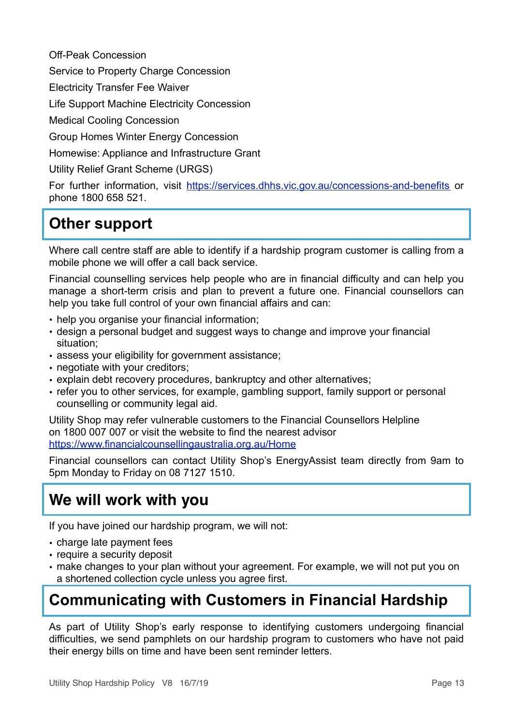Off-Peak Concession

Service to Property Charge Concession

Electricity Transfer Fee Waiver

Life Support Machine Electricity Concession

Medical Cooling Concession

Group Homes Winter Energy Concession

Homewise: Appliance and Infrastructure Grant

Utility Relief Grant Scheme (URGS)

For further information, visit <https://services.dhhs.vic.gov.au/concessions-and-benefits>or phone 1800 658 521.

## <span id="page-13-0"></span>**Other support**

Where call centre staff are able to identify if a hardship program customer is calling from a mobile phone we will offer a call back service.

Financial counselling services help people who are in financial difficulty and can help you manage a short-term crisis and plan to prevent a future one. Financial counsellors can help you take full control of your own financial affairs and can:

- help you organise your financial information;
- design a personal budget and suggest ways to change and improve your financial situation;
- assess your eligibility for government assistance;
- negotiate with your creditors;
- explain debt recovery procedures, bankruptcy and other alternatives;
- refer you to other services, for example, gambling support, family support or personal counselling or community legal aid.

Utility Shop may refer vulnerable customers to the Financial Counsellors Helpline on 1800 007 007 or visit the website to find the nearest advisor <https://www.financialcounsellingaustralia.org.au/Home>

Financial counsellors can contact Utility Shop's EnergyAssist team directly from 9am to 5pm Monday to Friday on 08 7127 1510.

### <span id="page-13-1"></span>**We will work with you**

If you have joined our hardship program, we will not:

- charge late payment fees
- require a security deposit
- make changes to your plan without your agreement. For example, we will not put you on a shortened collection cycle unless you agree first.

## <span id="page-13-2"></span>**Communicating with Customers in Financial Hardship**

As part of Utility Shop's early response to identifying customers undergoing financial difficulties, we send pamphlets on our hardship program to customers who have not paid their energy bills on time and have been sent reminder letters.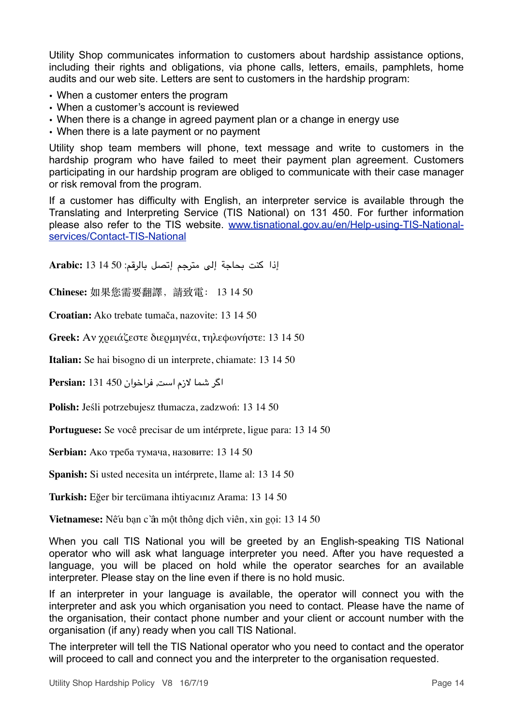Utility Shop communicates information to customers about hardship assistance options, including their rights and obligations, via phone calls, letters, emails, pamphlets, home audits and our web site. Letters are sent to customers in the hardship program:

- When a customer enters the program
- When a customer's account is reviewed
- When there is a change in agreed payment plan or a change in energy use
- When there is a late payment or no payment

Utility shop team members will phone, text message and write to customers in the hardship program who have failed to meet their payment plan agreement. Customers participating in our hardship program are obliged to communicate with their case manager or risk removal from the program.

If a customer has difficulty with English, an interpreter service is available through the Translating and Interpreting Service (TIS National) on 131 450. For further information please also refer to the TIS website. [www.tisnational.gov.au/en/Help-using-TIS-National](https://www.tisnational.gov.au/en/Help-using-TIS-National-services/Contact-TIS-National)[services/Contact-TIS-National](https://www.tisnational.gov.au/en/Help-using-TIS-National-services/Contact-TIS-National)

إذا كنت بحاجة إلى مترجم إتصل بالرقم: 50 14 13 **:Arabic**

**Chinese:** 如果您需要翻譯,請致電: 13 14 50

**Croatian:** Ako trebate tumača, nazovite: 13 14 50

**Greek:** Αν χρειάζεστε διερμηνέα, τηλεφωνήστε: 13 14 50

**Italian:** Se hai bisogno di un interprete, chiamate: 13 14 50

اگر شما لزم است, فراخوان 450 131 **:Persian**

**Polish:** Jeśli potrzebujesz tłumacza, zadzwoń: 13 14 50

**Portuguese:** Se você precisar de um intérprete, ligue para: 13 14 50

**Serbian:** Ако треба тумача, назовите: 13 14 50

**Spanish:** Si usted necesita un intérprete, llame al: 13 14 50

**Turkish:** Eğer bir tercümana ihtiyacınız Arama: 13 14 50

**Vietnamese:** Nếu bạn cần một thông dịch viên, xin gọi: 13 14 50

When you call TIS National you will be greeted by an English-speaking TIS National operator who will ask what language interpreter you need. After you have requested a language, you will be placed on hold while the operator searches for an available interpreter. Please stay on the line even if there is no hold music.

If an interpreter in your language is available, the operator will connect you with the interpreter and ask you which organisation you need to contact. Please have the name of the organisation, their contact phone number and your client or account number with the organisation (if any) ready when you call TIS National.

The interpreter will tell the TIS National operator who you need to contact and the operator will proceed to call and connect you and the interpreter to the organisation requested.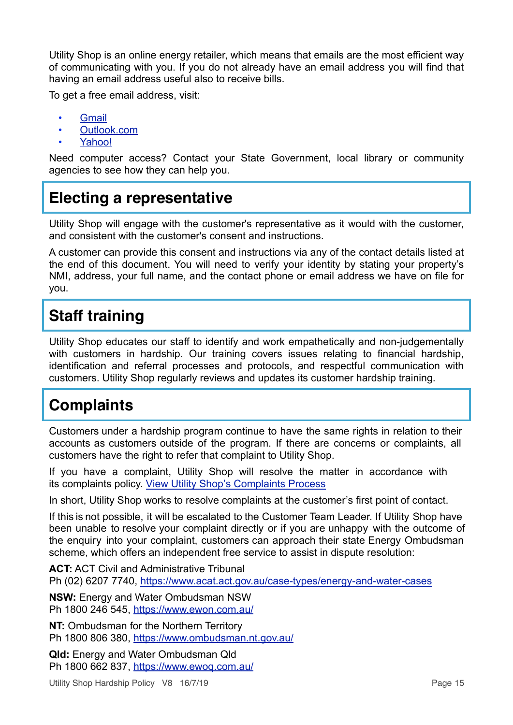Utility Shop is an online energy retailer, which means that emails are the most efficient way of communicating with you. If you do not already have an email address you will find that having an email address useful also to receive bills.

To get a free email address, visit:

- **[Gmail](http://mail.google.com/)**
- [Outlook.com](https://outlook.live.com/owa/)
- [Yahoo!](http://au.mail.yahoo.com/)

Need computer access? Contact your State Government, local library or community agencies to see how they can help you.

### <span id="page-15-0"></span>**Electing a representative**

Utility Shop will engage with the customer's representative as it would with the customer, and consistent with the customer's consent and instructions.

A customer can provide this consent and instructions via any of the contact details listed at the end of this document. You will need to verify your identity by stating your property's NMI, address, your full name, and the contact phone or email address we have on file for you.

## <span id="page-15-1"></span>**Staff training**

Utility Shop educates our staff to identify and work empathetically and non-judgementally with customers in hardship. Our training covers issues relating to financial hardship, identification and referral processes and protocols, and respectful communication with customers. Utility Shop regularly reviews and updates its customer hardship training.

# <span id="page-15-2"></span>**Complaints**

Customers under a hardship program continue to have the same rights in relation to their accounts as customers outside of the program. If there are concerns or complaints, all customers have the right to refer that complaint to Utility Shop.

If you have a complaint, Utility Shop will resolve the matter in accordance with its complaints policy. [View Utility Shop's Complaints Process](https://www.utilityshop.com.au/other/complaints-policy.html)

In short, Utility Shop works to resolve complaints at the customer's first point of contact.

If this is not possible, it will be escalated to the Customer Team Leader. If Utility Shop have been unable to resolve your complaint directly or if you are unhappy with the outcome of the enquiry into your complaint, customers can approach their state Energy Ombudsman scheme, which offers an independent free service to assist in dispute resolution:

**ACT:** ACT Civil and Administrative Tribunal Ph (02) 6207 7740, <https://www.acat.act.gov.au/case-types/energy-and-water-cases>

**NSW:** Energy and Water Ombudsman NSW Ph 1800 246 545, <https://www.ewon.com.au/>

**NT:** Ombudsman for the Northern Territory Ph 1800 806 380, <https://www.ombudsman.nt.gov.au/>

**Qld:** Energy and Water Ombudsman Qld Ph 1800 662 837, <https://www.ewoq.com.au/>